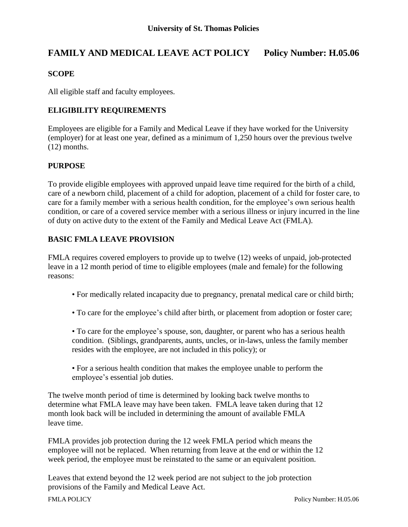# **FAMILY AND MEDICAL LEAVE ACT POLICY Policy Number: H.05.06**

#### **SCOPE**

All eligible staff and faculty employees.

## **ELIGIBILITY REQUIREMENTS**

Employees are eligible for a Family and Medical Leave if they have worked for the University (employer) for at least one year, defined as a minimum of 1,250 hours over the previous twelve (12) months.

#### **PURPOSE**

To provide eligible employees with approved unpaid leave time required for the birth of a child, care of a newborn child, placement of a child for adoption, placement of a child for foster care, to care for a family member with a serious health condition, for the employee's own serious health condition, or care of a covered service member with a serious illness or injury incurred in the line of duty on active duty to the extent of the Family and Medical Leave Act (FMLA).

## **BASIC FMLA LEAVE PROVISION**

FMLA requires covered employers to provide up to twelve (12) weeks of unpaid, job-protected leave in a 12 month period of time to eligible employees (male and female) for the following reasons:

- For medically related incapacity due to pregnancy, prenatal medical care or child birth;
- To care for the employee's child after birth, or placement from adoption or foster care;
- To care for the employee's spouse, son, daughter, or parent who has a serious health condition. (Siblings, grandparents, aunts, uncles, or in-laws, unless the family member resides with the employee, are not included in this policy); or
- For a serious health condition that makes the employee unable to perform the employee's essential job duties.

The twelve month period of time is determined by looking back twelve months to determine what FMLA leave may have been taken. FMLA leave taken during that 12 month look back will be included in determining the amount of available FMLA leave time.

FMLA provides job protection during the 12 week FMLA period which means the employee will not be replaced. When returning from leave at the end or within the 12 week period, the employee must be reinstated to the same or an equivalent position.

Leaves that extend beyond the 12 week period are not subject to the job protection provisions of the Family and Medical Leave Act.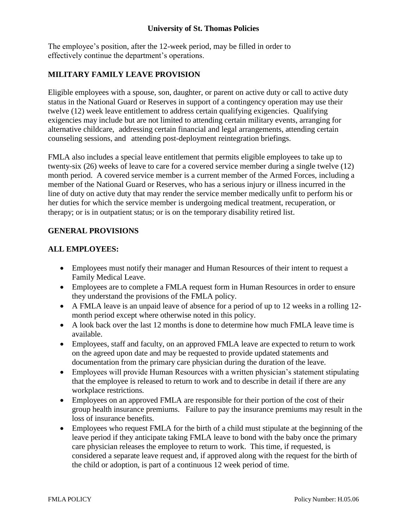#### **University of St. Thomas Policies**

The employee's position, after the 12-week period, may be filled in order to effectively continue the department's operations.

## **MILITARY FAMILY LEAVE PROVISION**

Eligible employees with a spouse, son, daughter, or parent on active duty or call to active duty status in the National Guard or Reserves in support of a contingency operation may use their twelve (12) week leave entitlement to address certain qualifying exigencies. Qualifying exigencies may include but are not limited to attending certain military events, arranging for alternative childcare, addressing certain financial and legal arrangements, attending certain counseling sessions, and attending post-deployment reintegration briefings.

FMLA also includes a special leave entitlement that permits eligible employees to take up to twenty-six (26) weeks of leave to care for a covered service member during a single twelve (12) month period. A covered service member is a current member of the Armed Forces, including a member of the National Guard or Reserves, who has a serious injury or illness incurred in the line of duty on active duty that may render the service member medically unfit to perform his or her duties for which the service member is undergoing medical treatment, recuperation, or therapy; or is in outpatient status; or is on the temporary disability retired list.

#### **GENERAL PROVISIONS**

#### **ALL EMPLOYEES:**

- Employees must notify their manager and Human Resources of their intent to request a Family Medical Leave.
- Employees are to complete a FMLA request form in Human Resources in order to ensure they understand the provisions of the FMLA policy.
- A FMLA leave is an unpaid leave of absence for a period of up to 12 weeks in a rolling 12 month period except where otherwise noted in this policy.
- A look back over the last 12 months is done to determine how much FMLA leave time is available.
- Employees, staff and faculty, on an approved FMLA leave are expected to return to work on the agreed upon date and may be requested to provide updated statements and documentation from the primary care physician during the duration of the leave.
- Employees will provide Human Resources with a written physician's statement stipulating that the employee is released to return to work and to describe in detail if there are any workplace restrictions.
- Employees on an approved FMLA are responsible for their portion of the cost of their group health insurance premiums. Failure to pay the insurance premiums may result in the loss of insurance benefits.
- Employees who request FMLA for the birth of a child must stipulate at the beginning of the leave period if they anticipate taking FMLA leave to bond with the baby once the primary care physician releases the employee to return to work. This time, if requested, is considered a separate leave request and, if approved along with the request for the birth of the child or adoption, is part of a continuous 12 week period of time.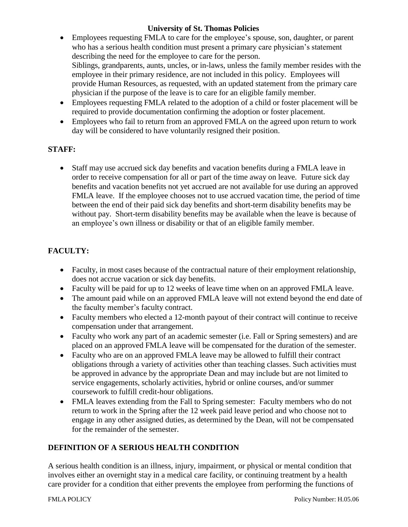## **University of St. Thomas Policies**

- Employees requesting FMLA to care for the employee's spouse, son, daughter, or parent who has a serious health condition must present a primary care physician's statement describing the need for the employee to care for the person. Siblings, grandparents, aunts, uncles, or in-laws, unless the family member resides with the employee in their primary residence, are not included in this policy. Employees will provide Human Resources, as requested, with an updated statement from the primary care physician if the purpose of the leave is to care for an eligible family member.
- Employees requesting FMLA related to the adoption of a child or foster placement will be required to provide documentation confirming the adoption or foster placement.
- Employees who fail to return from an approved FMLA on the agreed upon return to work day will be considered to have voluntarily resigned their position.

## **STAFF:**

 Staff may use accrued sick day benefits and vacation benefits during a FMLA leave in order to receive compensation for all or part of the time away on leave. Future sick day benefits and vacation benefits not yet accrued are not available for use during an approved FMLA leave. If the employee chooses not to use accrued vacation time, the period of time between the end of their paid sick day benefits and short-term disability benefits may be without pay. Short-term disability benefits may be available when the leave is because of an employee's own illness or disability or that of an eligible family member.

## **FACULTY:**

- Faculty, in most cases because of the contractual nature of their employment relationship, does not accrue vacation or sick day benefits.
- Faculty will be paid for up to 12 weeks of leave time when on an approved FMLA leave.
- The amount paid while on an approved FMLA leave will not extend beyond the end date of the faculty member's faculty contract.
- Faculty members who elected a 12-month payout of their contract will continue to receive compensation under that arrangement.
- Faculty who work any part of an academic semester (i.e. Fall or Spring semesters) and are placed on an approved FMLA leave will be compensated for the duration of the semester.
- Faculty who are on an approved FMLA leave may be allowed to fulfill their contract obligations through a variety of activities other than teaching classes. Such activities must be approved in advance by the appropriate Dean and may include but are not limited to service engagements, scholarly activities, hybrid or online courses, and/or summer coursework to fulfill credit-hour obligations.
- FMLA leaves extending from the Fall to Spring semester: Faculty members who do not return to work in the Spring after the 12 week paid leave period and who choose not to engage in any other assigned duties, as determined by the Dean, will not be compensated for the remainder of the semester.

## **DEFINITION OF A SERIOUS HEALTH CONDITION**

A serious health condition is an illness, injury, impairment, or physical or mental condition that involves either an overnight stay in a medical care facility, or continuing treatment by a health care provider for a condition that either prevents the employee from performing the functions of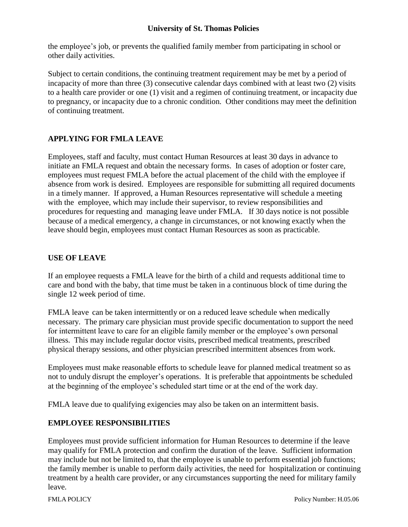#### **University of St. Thomas Policies**

the employee's job, or prevents the qualified family member from participating in school or other daily activities.

Subject to certain conditions, the continuing treatment requirement may be met by a period of incapacity of more than three (3) consecutive calendar days combined with at least two (2) visits to a health care provider or one (1) visit and a regimen of continuing treatment, or incapacity due to pregnancy, or incapacity due to a chronic condition. Other conditions may meet the definition of continuing treatment.

## **APPLYING FOR FMLA LEAVE**

Employees, staff and faculty, must contact Human Resources at least 30 days in advance to initiate an FMLA request and obtain the necessary forms. In cases of adoption or foster care, employees must request FMLA before the actual placement of the child with the employee if absence from work is desired. Employees are responsible for submitting all required documents in a timely manner. If approved, a Human Resources representative will schedule a meeting with the employee, which may include their supervisor, to review responsibilities and procedures for requesting and managing leave under FMLA. If 30 days notice is not possible because of a medical emergency, a change in circumstances, or not knowing exactly when the leave should begin, employees must contact Human Resources as soon as practicable.

## **USE OF LEAVE**

If an employee requests a FMLA leave for the birth of a child and requests additional time to care and bond with the baby, that time must be taken in a continuous block of time during the single 12 week period of time.

FMLA leave can be taken intermittently or on a reduced leave schedule when medically necessary. The primary care physician must provide specific documentation to support the need for intermittent leave to care for an eligible family member or the employee's own personal illness. This may include regular doctor visits, prescribed medical treatments, prescribed physical therapy sessions, and other physician prescribed intermittent absences from work.

Employees must make reasonable efforts to schedule leave for planned medical treatment so as not to unduly disrupt the employer's operations. It is preferable that appointments be scheduled at the beginning of the employee's scheduled start time or at the end of the work day.

FMLA leave due to qualifying exigencies may also be taken on an intermittent basis.

## **EMPLOYEE RESPONSIBILITIES**

Employees must provide sufficient information for Human Resources to determine if the leave may qualify for FMLA protection and confirm the duration of the leave. Sufficient information may include but not be limited to, that the employee is unable to perform essential job functions; the family member is unable to perform daily activities, the need for hospitalization or continuing treatment by a health care provider, or any circumstances supporting the need for military family leave.